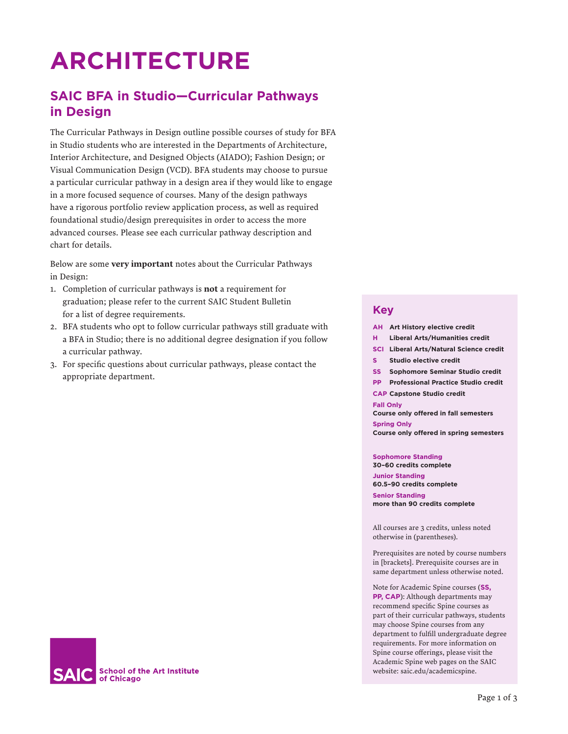# **ARCHITECTURE**

# **SAIC BFA in Studio—Curricular Pathways in Design**

The Curricular Pathways in Design outline possible courses of study for BFA in Studio students who are interested in the Departments of Architecture, Interior Architecture, and Designed Objects (AIADO); Fashion Design; or Visual Communication Design (VCD). BFA students may choose to pursue a particular curricular pathway in a design area if they would like to engage in a more focused sequence of courses. Many of the design pathways have a rigorous portfolio review application process, as well as required foundational studio/design prerequisites in order to access the more advanced courses. Please see each curricular pathway description and chart for details.

Below are some very important notes about the Curricular Pathways in Design:

- 1. Completion of curricular pathways is not a requirement for graduation; please refer to the current SAIC Student Bulletin for a list of degree requirements.
- 2. BFA students who opt to follow curricular pathways still graduate with a BFA in Studio; there is no additional degree designation if you follow a curricular pathway.
- 3. For specific questions about curricular pathways, please contact the appropriate department.

# **Key**

- **AH Art History elective credit**
- **H Liberal Arts/Humanities credit**
- **SCI Liberal Arts/Natural Science credit**
- **S Studio elective credit**
- **SS Sophomore Seminar Studio credit**
- **PP Professional Practice Studio credit**
- **CAP Capstone Studio credit**

#### **Fall Only**

**Course only offered in fall semesters**

**Spring Only Course only offered in spring semesters**

**Sophomore Standing**

**30–60 credits complete Junior Standing 60.5–90 credits complete**

**Senior Standing more than 90 credits complete**

All courses are 3 credits, unless noted otherwise in (parentheses).

Prerequisites are noted by course numbers in [brackets]. Prerequisite courses are in same department unless otherwise noted.

Note for Academic Spine courses (**SS, PP, CAP**): Although departments may recommend specific Spine courses as part of their curricular pathways, students may choose Spine courses from any department to fulfill undergraduate degree requirements. For more information on Spine course offerings, please visit the Academic Spine web pages on the SAIC website: saic.edu/academicspine.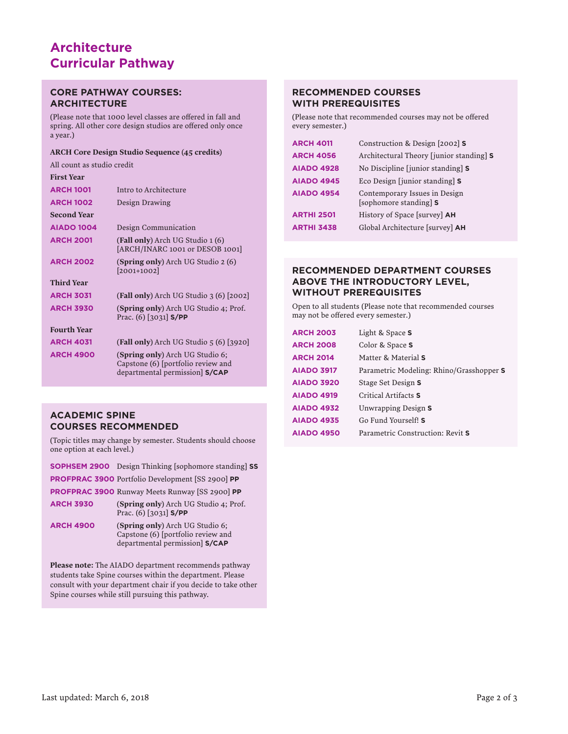# **Architecture Curricular Pathway**

## **CORE PATHWAY COURSES: ARCHITECTURE**

(Please note that 1000 level classes are offered in fall and spring. All other core design studios are offered only once a year.)

#### ARCH Core Design Studio Sequence (45 credits)

All count as studio credit

| <b>First Year</b>  |                                                                                                        |
|--------------------|--------------------------------------------------------------------------------------------------------|
| <b>ARCH 1001</b>   | Intro to Architecture                                                                                  |
| <b>ARCH 1002</b>   | Design Drawing                                                                                         |
| <b>Second Year</b> |                                                                                                        |
| <b>AIADO 1004</b>  | Design Communication                                                                                   |
| <b>ARCH 2001</b>   | <b>(Fall only)</b> Arch UG Studio 1 (6)<br>[ARCH/INARC 1001 or DESOB 1001]                             |
| <b>ARCH 2002</b>   | <b>(Spring only)</b> Arch UG Studio 2 (6)<br>$[2001+1002]$                                             |
| <b>Third Year</b>  |                                                                                                        |
| <b>ARCH 3031</b>   | (Fall only) Arch UG Studio 3 (6) $[2002]$                                                              |
| <b>ARCH 3930</b>   | (Spring only) Arch UG Studio 4; Prof.<br>Prac. $(6)$ [3031] <b>S/PP</b>                                |
| <b>Fourth Year</b> |                                                                                                        |
| <b>ARCH 4031</b>   | (Fall only) Arch UG Studio $5(6)$ [3920]                                                               |
| <b>ARCH 4900</b>   | (Spring only) Arch UG Studio 6;<br>Capstone (6) [portfolio review and<br>departmental permission S/CAP |

# **ACADEMIC SPINE COURSES RECOMMENDED**

(Topic titles may change by semester. Students should choose one option at each level.)

|                  | <b>SOPHSEM 2900</b> Design Thinking [sophomore standing] SS           |
|------------------|-----------------------------------------------------------------------|
|                  | <b>PROFPRAC 3900</b> Portfolio Development [SS 2900] PP               |
|                  | <b>PROFPRAC 3900 Runway Meets Runway [SS 2900] PP</b>                 |
| <b>ARCH 3930</b> | (Spring only) Arch UG Studio 4; Prof.<br>Prac. $(6)$ [3031] S/PP      |
| <b>ARCH 4900</b> | (Spring only) Arch UG Studio 6;<br>Capstone (6) [portfolio review and |

Please note: The AIADO department recommends pathway students take Spine courses within the department. Please consult with your department chair if you decide to take other Spine courses while still pursuing this pathway.

departmental permission] **S/CAP**

## **RECOMMENDED COURSES WITH PREREQUISITES**

(Please note that recommended courses may not be offered every semester.)

| <b>ARCH 4011</b>  | Construction & Design [2002] S                          |
|-------------------|---------------------------------------------------------|
| <b>ARCH 4056</b>  | Architectural Theory [junior standing] S                |
| <b>AIADO 4928</b> | No Discipline [junior standing] S                       |
| <b>AIADO 4945</b> | Eco Design [junior standing] S                          |
| <b>AIADO 4954</b> | Contemporary Issues in Design<br>[sophomore standing] S |
| <b>ARTHI 2501</b> | History of Space [survey] <b>AH</b>                     |
| <b>ARTHI 3438</b> | Global Architecture [survey] AH                         |
|                   |                                                         |

## **RECOMMENDED DEPARTMENT COURSES ABOVE THE INTRODUCTORY LEVEL, WITHOUT PREREQUISITES**

Open to all students (Please note that recommended courses may not be offered every semester.)

| <b>ARCH 2003</b>  | Light & Space S                          |
|-------------------|------------------------------------------|
| <b>ARCH 2008</b>  | Color & Space S                          |
| <b>ARCH 2014</b>  | Matter & Material S                      |
| <b>AIADO 3917</b> | Parametric Modeling: Rhino/Grasshopper S |
| <b>AIADO 3920</b> | Stage Set Design S                       |
| <b>AIADO 4919</b> | Critical Artifacts S                     |
| <b>AIADO 4932</b> | Unwrapping Design S                      |
| <b>AIADO 4935</b> | Go Fund Yourself! S                      |
| <b>AIADO 4950</b> | Parametric Construction: Revit S         |